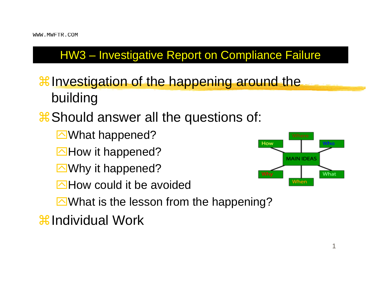#### HW3 – Investigative Report on Compliance Failure

### $\frac{1}{26}$  Investigation of the happening around the building

### $\frac{1}{10}$  Should answer all the questions of:

**N**What happened?

 $\Box$  How it happened?

**Now it happened?** 

**SHow could it be avoided** 

 $\triangleright$  What is the lesson from the happening?

 $\frac{1}{26}$ Individual Work

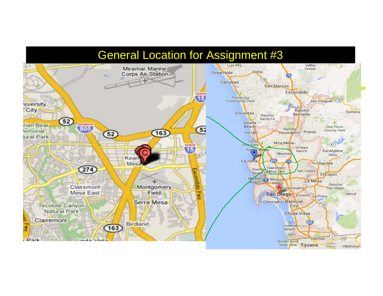#### General Location for Assignment #3

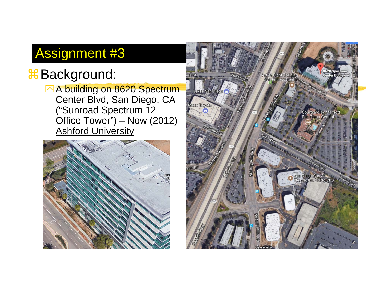# Assignment #3

## Background:

A building on 8620 Spectrum Center Blvd, San Diego, CA ("Sunroad Spectrum 12 Office Tower") – Now (2012) **Ashford University** 



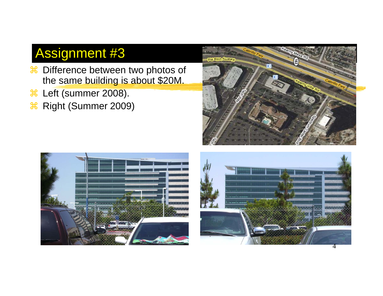## Assignment #3

- **a Bullet** Difference between two photos of the same building is about \$20M.
- $\mathfrak{X}$ Left (summer 2008).
- $\mathfrak{X}$ Right (Summer 2009)





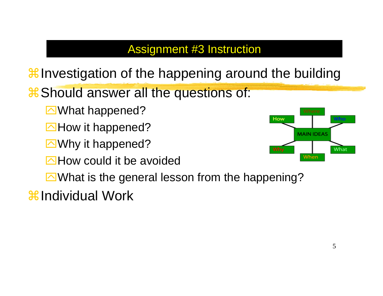#### Assignment #3 Instruction

 $\frac{1}{2}$  Investigation of the happening around the building **# Should answer all the questions of:** 

**N**What happened?

 $\Box$  How it happened?

**Now it happened?** 

 $\Box$  How could it be avoided



 $\triangleright$  What is the general lesson from the happening?

**a**lndividual Work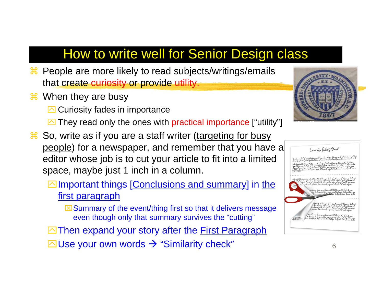### How to write well for Senior Design class

- **a People are more likely to read subjects/writings/emails** that create curiosity or provide utility.
- <sup>36</sup> When they are busy
	- **<sup>sqrt</sup> Curiosity fades in importance**
	- **They read only the ones with practical importance ["utility"]**
- **a So, write as if you are a staff writer (targeting for busy** people) for a newspaper, and remember that you have a editor whose job is to cut your article to fit into a limited space, maybe just 1 inch in a column.
	- $\boxdot$  Important things [Conclusions and summary] in the first paragraph
		- $\boxtimes$  Summary of the event/thing first so that it delivers message even though only that summary survives the "cutting"
	- $\Box$  Then expand your story after the First Paragraph
	- $\boxdot$ Use your own words  $\Rightarrow$  "Similarity check"